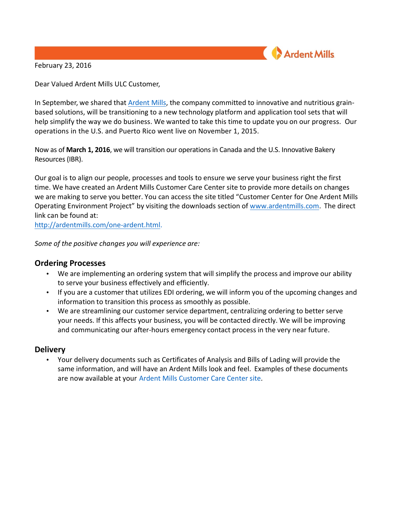**Ardent Mills** 

February 23, 2016

Dear Valued Ardent Mills ULC Customer,

In September, we shared that Ardent Mills, the company committed to innovative and nutritious grainbased solutions, will be transitioning to a new technology platform and application tool sets that will help simplify the way we do business. We wanted to take this time to update you on our progress. Our operations in the U.S. and Puerto Rico went live on November 1, 2015.

Now as of **March 1, 2016**, we will transition our operations in Canada and the U.S. Innovative Bakery Resources (IBR).

Our goal is to align our people, processes and tools to ensure we serve your business right the first time. We have created an Ardent Mills Customer Care Center site to provide more details on changes we are making to serve you better. You can access the site titled "Customer Center for One Ardent Mills Operating Environment Project" by visiting the downloads section of www.ardentmills.com. The direct link can be found at:

http://ardentmills.com/one-ardent.html. 

*Some of the positive changes you will experience are:*

## **Ordering Processes**

- We are implementing an ordering system that will simplify the process and improve our ability to serve your business effectively and efficiently.
- If you are a customer that utilizes EDI ordering, we will inform you of the upcoming changes and information to transition this process as smoothly as possible.
- We are streamlining our customer service department, centralizing ordering to better serve your needs. If this affects your business, you will be contacted directly. We will be improving and communicating our after-hours emergency contact process in the very near future.

## **Delivery**

• Your delivery documents such as Certificates of Analysis and Bills of Lading will provide the same information, and will have an Ardent Mills look and feel. Examples of these documents are now available at your Ardent Mills Customer Care Center site.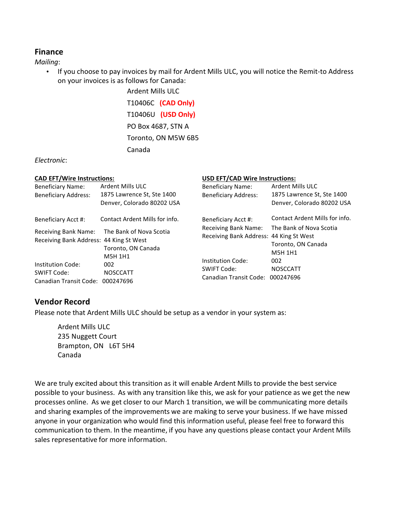# **Finance**

*Mailing*:

• If you choose to pay invoices by mail for Ardent Mills ULC, you will notice the Remit-to Address on your invoices is as follows for Canada:

> **Ardent Mills ULC** T10406C **(CAD Only)** T10406U **(USD Only)** PO Box 4687, STN A Toronto, ON M5W 6B5 Canada

### *Electronic*:

| <b>CAD EFT/Wire Instructions:</b>                                    |                                                                              | <b>USD EFT/CAD Wire Instructions:</b>                                                             |                                                                                            |
|----------------------------------------------------------------------|------------------------------------------------------------------------------|---------------------------------------------------------------------------------------------------|--------------------------------------------------------------------------------------------|
| <b>Beneficiary Name:</b><br><b>Beneficiary Address:</b>              | Ardent Mills ULC<br>1875 Lawrence St, Ste 1400<br>Denver, Colorado 80202 USA | <b>Beneficiary Name:</b><br><b>Beneficiary Address:</b>                                           | <b>Ardent Mills ULC</b><br>1875 Lawrence St, Ste 1400<br>Denver, Colorado 80202 USA        |
| Beneficiary Acct #:                                                  | Contact Ardent Mills for info.                                               | Beneficiary Acct #:<br><b>Receiving Bank Name:</b>                                                | Contact Ardent Mills for info.<br>The Bank of Nova Scotia<br>Toronto, ON Canada<br>M5H 1H1 |
| Receiving Bank Name:<br>Receiving Bank Address: 44 King St West      | The Bank of Nova Scotia<br>Toronto, ON Canada<br>M5H 1H1                     | Receiving Bank Address: 44 King St West                                                           |                                                                                            |
| Institution Code:<br>SWIFT Code:<br>Canadian Transit Code: 000247696 | 002<br><b>NOSCCATT</b>                                                       | Institution Code:<br>002<br>SWIFT Code:<br><b>NOSCCATT</b><br>Canadian Transit Code:<br>000247696 |                                                                                            |

# **Vendor Record**

Please note that Ardent Mills ULC should be setup as a vendor in your system as:

Ardent Mills ULC 235 Nuggett Court Brampton, ON L6T 5H4 Canada

We are truly excited about this transition as it will enable Ardent Mills to provide the best service possible to your business. As with any transition like this, we ask for your patience as we get the new processes online. As we get closer to our March 1 transition, we will be communicating more details and sharing examples of the improvements we are making to serve your business. If we have missed anyone in your organization who would find this information useful, please feel free to forward this communication to them. In the meantime, if you have any questions please contact your Ardent Mills sales representative for more information.